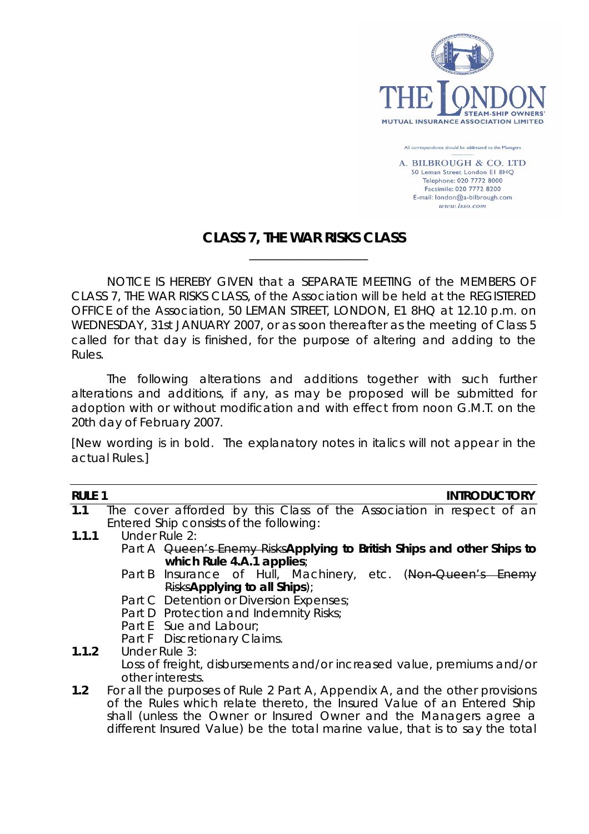

All correspondence should be addressed to the Managers

A. BILBROUGH & CO. LTD 50 Leman Street London El 8HQ Telephone: 020 7772 8000 Facsimile: 020 7772 8200 E-mail: london@a-bilbrough.com  $www. lsso.com$ 

# **CLASS 7, THE WAR RISKS CLASS**

 $\frac{1}{2}$  , and the contract of the contract of the contract of the contract of the contract of the contract of the contract of the contract of the contract of the contract of the contract of the contract of the contract

NOTICE IS HEREBY GIVEN that a SEPARATE MEETING of the MEMBERS OF CLASS 7, THE WAR RISKS CLASS, of the Association will be held at the REGISTERED OFFICE of the Association, 50 LEMAN STREET, LONDON, E1 8HQ at 12.10 p.m. on WEDNESDAY, 31st JANUARY 2007, or as soon thereafter as the meeting of Class 5 called for that day is finished, for the purpose of altering and adding to the Rules.

The following alterations and additions together with such further alterations and additions, if any, as may be proposed will be submitted for adoption with or without modification and with effect from noon G.M.T. on the 20th day of February 2007.

*[New wording is in bold. The explanatory notes in italics will not appear in the actual Rules.]*

| <b>RULE 1</b> |                                                                              |                                         |  |  |  |  | <b>INTRODUCTORY</b>                                                    |
|---------------|------------------------------------------------------------------------------|-----------------------------------------|--|--|--|--|------------------------------------------------------------------------|
| 1.1           |                                                                              |                                         |  |  |  |  | The cover afforded by this Class of the Association in respect of an   |
|               | Entered Ship consists of the following:                                      |                                         |  |  |  |  |                                                                        |
| 1.1.1         | Under Rule 2:                                                                |                                         |  |  |  |  |                                                                        |
|               |                                                                              |                                         |  |  |  |  | Part A Queen's Enemy RisksApplying to British Ships and other Ships to |
|               |                                                                              | which Rule $4.A.1$ applies;             |  |  |  |  |                                                                        |
|               |                                                                              |                                         |  |  |  |  | Part B Insurance of Hull, Machinery, etc. (Non-Queen's Enemy           |
|               | RisksApplying to all Ships);                                                 |                                         |  |  |  |  |                                                                        |
|               |                                                                              | Part C Detention or Diversion Expenses; |  |  |  |  |                                                                        |
|               |                                                                              | Part D Protection and Indemnity Risks;  |  |  |  |  |                                                                        |
|               |                                                                              | Part E Sue and Labour;                  |  |  |  |  |                                                                        |
|               |                                                                              | Part F Discretionary Claims.            |  |  |  |  |                                                                        |
| 1.1.2         | Under Rule 3:                                                                |                                         |  |  |  |  |                                                                        |
|               | Loss of freight, disbursements and/or increased value, premiums and/or       |                                         |  |  |  |  |                                                                        |
|               | other interests.                                                             |                                         |  |  |  |  |                                                                        |
| 1.2           | For all the purposes of Rule 2 Part A, Appendix A, and the other provisions  |                                         |  |  |  |  |                                                                        |
|               | of the Rules which relate thereto, the Insured Value of an Entered Ship      |                                         |  |  |  |  |                                                                        |
|               | shall (unless the Owner or Insured Owner and the Managers agree a            |                                         |  |  |  |  |                                                                        |
|               | different Insured Value) be the total marine value, that is to say the total |                                         |  |  |  |  |                                                                        |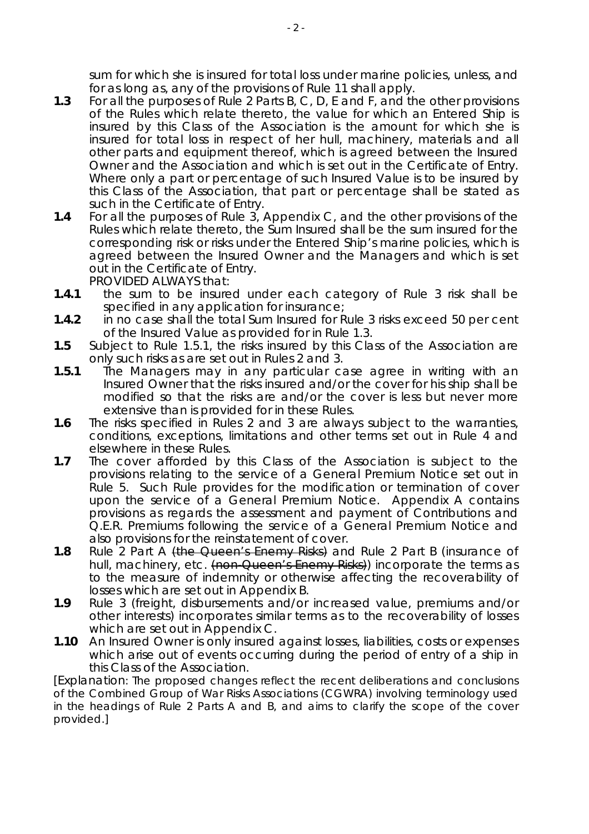sum for which she is insured for total loss under marine policies, unless, and for as long as, any of the provisions of Rule 11 shall apply.

- **1.3** For all the purposes of Rule 2 Parts B, C, D, E and F, and the other provisions of the Rules which relate thereto, the value for which an Entered Ship is insured by this Class of the Association is the amount for which she is insured for total loss in respect of her hull, machinery, materials and all other parts and equipment thereof, which is agreed between the Insured Owner and the Association and which is set out in the Certificate of Entry. Where only a part or percentage of such Insured Value is to be insured by this Class of the Association, that part or percentage shall be stated as such in the Certificate of Entry.
- **1.4** For all the purposes of Rule 3, Appendix C, and the other provisions of the Rules which relate thereto, the Sum Insured shall be the sum insured for the corresponding risk or risks under the Entered Ship's marine policies, which is agreed between the Insured Owner and the Managers and which is set out in the Certificate of Entry. PROVIDED ALWAYS that:
- **1.4.1** the sum to be insured under each category of Rule 3 risk shall be specified in any application for insurance;
- **1.4.2** in no case shall the total Sum Insured for Rule 3 risks exceed 50 per cent of the Insured Value as provided for in Rule 1.3.
- **1.5** Subject to Rule 1.5.1, the risks insured by this Class of the Association are only such risks as are set out in Rules 2 and 3.
- **1.5.1** The Managers may in any particular case agree in writing with an Insured Owner that the risks insured and/or the cover for his ship shall be modified so that the risks are and/or the cover is less but never more extensive than is provided for in these Rules.
- **1.6** The risks specified in Rules 2 and 3 are always subject to the warranties, conditions, exceptions, limitations and other terms set out in Rule 4 and elsewhere in these Rules.
- **1.7** The cover afforded by this Class of the Association is subject to the provisions relating to the service of a General Premium Notice set out in Rule 5. Such Rule provides for the modification or termination of cover upon the service of a General Premium Notice. Appendix A contains provisions as regards the assessment and payment of Contributions and Q.E.R. Premiums following the service of a General Premium Notice and also provisions for the reinstatement of cover.
- **1.8** Rule 2 Part A (the Queen's Enemy Risks) and Rule 2 Part B (insurance of hull, machinery, etc. (non-Queen's Enemy Risks) incorporate the terms as to the measure of indemnity or otherwise affecting the recoverability of losses which are set out in Appendix B.
- **1.9** Rule 3 (freight, disbursements and/or increased value, premiums and/or other interests) incorporates similar terms as to the recoverability of losses which are set out in Appendix C.
- **1.10** An Insured Owner is only insured against losses, liabilities, costs or expenses which arise out of events occurring during the period of entry of a ship in this Class of the Association.

*[Explanation: The proposed changes reflect the recent deliberations and conclusions of the Combined Group of War Risks Associations (CGWRA) involving terminology used in the headings of Rule 2 Parts A and B, and aims to clarify the scope of the cover provided.]*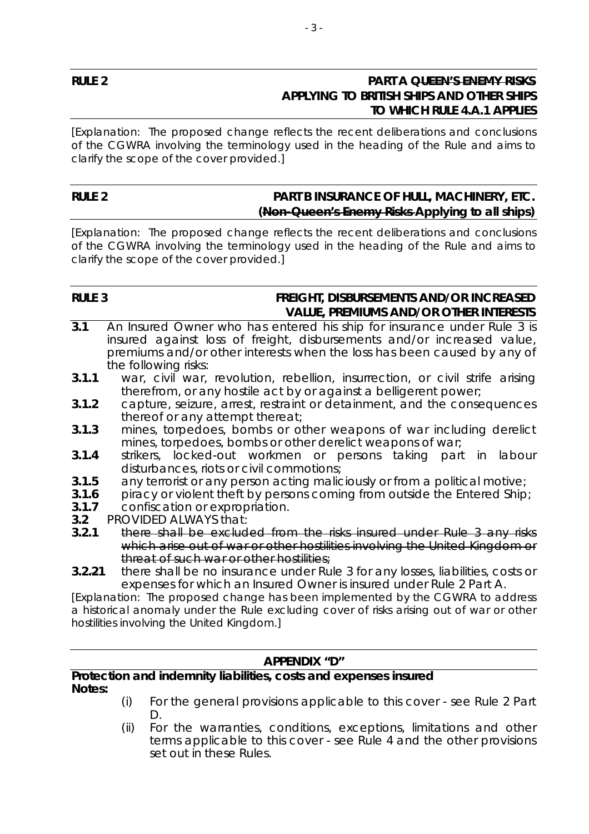# **RULE 2 PART A QUEEN'S ENEMY RISKS APPLYING TO BRITISH SHIPS AND OTHER SHIPS TO WHICH RULE 4.A.1 APPLIES**

*[Explanation: The proposed change reflects the recent deliberations and conclusions of the CGWRA involving the terminology used in the heading of the Rule and aims to clarify the scope of the cover provided.]*

### RULE 2 **PART B INSURANCE OF HULL, MACHINERY, ETC. (Non-Queen's Enemy Risks Applying to all ships)**

*[Explanation: The proposed change reflects the recent deliberations and conclusions of the CGWRA involving the terminology used in the heading of the Rule and aims to clarify the scope of the cover provided.]*

# **RULE 3 FREIGHT, DISBURSEMENTS AND/OR INCREASED VALUE, PREMIUMS AND/OR OTHER INTERESTS**

- **3.1** An Insured Owner who has entered his ship for insurance under Rule 3 is insured against loss of freight, disbursements and/or increased value, premiums and/or other interests when the loss has been caused by any of the following risks:
- **3.1.1** war, civil war, revolution, rebellion, insurrection, or civil strife arising therefrom, or any hostile act by or against a belligerent power;
- **3.1.2** capture, seizure, arrest, restraint or detainment, and the consequences thereof or any attempt thereat;
- **3.1.3** mines, torpedoes, bombs or other weapons of war including derelict mines, torpedoes, bombs or other derelict weapons of war;
- **3.1.4** strikers, locked-out workmen or persons taking part in labour disturbances, riots or civil commotions;
- **3.1.5** any terrorist or any person acting maliciously or from a political motive;
- **3.1.6** piracy or violent theft by persons coming from outside the Entered Ship;
- **3.1.7** confiscation or expropriation.
- **3.2** PROVIDED ALWAYS that:
- **3.2.1** there shall be excluded from the risks insured under Rule 3 any risks which arise out of war or other hostilities involving the United Kingdom or threat of such war or other hostilities;
- **3.2.21** there shall be no insurance under Rule 3 for any losses, liabilities, costs or expenses for which an Insured Owner is insured under Rule 2 Part A.

*[Explanation: The proposed change has been implemented by the CGWRA to address a historical anomaly under the Rule excluding cover of risks arising out of war or other hostilities involving the United Kingdom.]* 

# **APPENDIX "D"**

#### **Protection and indemnity liabilities, costs and expenses insured Notes:**

- *(i) For the general provisions applicable to this cover see Rule 2 Part D.*
- *(ii) For the warranties, conditions, exceptions, limitations and other terms applicable to this cover - see Rule 4 and the other provisions set out in these Rules.*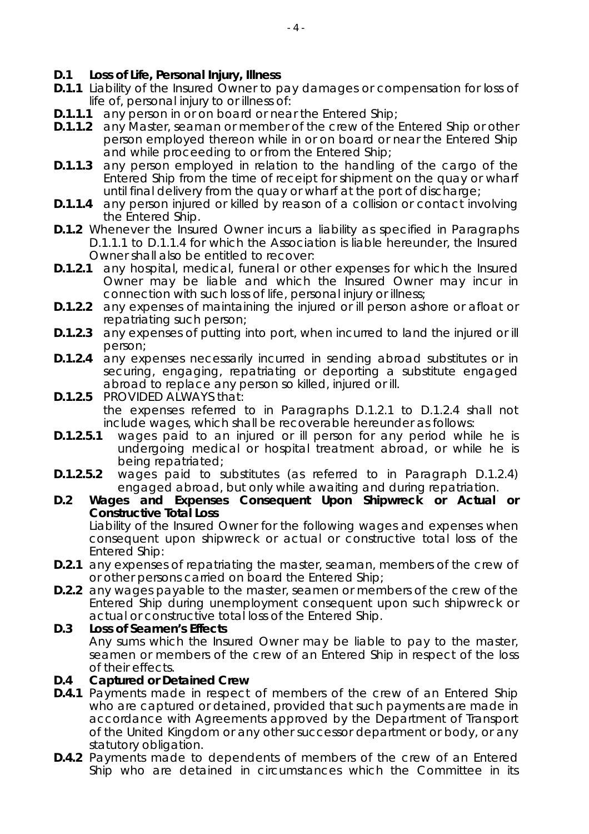# **D.1 Loss of Life, Personal Injury, Illness**

- **D.1.1** Liability of the Insured Owner to pay damages or compensation for loss of life of, personal injury to or illness of:
- **D.1.1.1** any person in or on board or near the Entered Ship;
- **D.1.1.2** any Master, seaman or member of the crew of the Entered Ship or other person employed thereon while in or on board or near the Entered Ship and while proceeding to or from the Entered Ship;
- **D.1.1.3** any person employed in relation to the handling of the cargo of the Entered Ship from the time of receipt for shipment on the quay or wharf until final delivery from the quay or wharf at the port of discharge;
- **D.1.1.4** any person injured or killed by reason of a collision or contact involving the Entered Ship.
- **D.1.2** Whenever the Insured Owner incurs a liability as specified in Paragraphs D.1.1.1 to D.1.1.4 for which the Association is liable hereunder, the Insured Owner shall also be entitled to recover:
- **D.1.2.1** any hospital, medical, funeral or other expenses for which the Insured Owner may be liable and which the Insured Owner may incur in connection with such loss of life, personal injury or illness;
- **D.1.2.2** any expenses of maintaining the injured or ill person ashore or afloat or repatriating such person;
- **D.1.2.3** any expenses of putting into port, when incurred to land the injured or ill person;
- **D.1.2.4** any expenses necessarily incurred in sending abroad substitutes or in securing, engaging, repatriating or deporting a substitute engaged abroad to replace any person so killed, injured or ill.
- **D.1.2.5** PROVIDED ALWAYS that: the expenses referred to in Paragraphs D.1.2.1 to D.1.2.4 shall not include wages, which shall be recoverable hereunder as follows:
- **D.1.2.5.1** wages paid to an injured or ill person for any period while he is undergoing medical or hospital treatment abroad, or while he is being repatriated;
- **D.1.2.5.2** wages paid to substitutes (as referred to in Paragraph D.1.2.4) engaged abroad, but only while awaiting and during repatriation.
- D.2 Wages and Expenses Consequent Upon Shipwreck or Actual or **Constructive Total Loss** Liability of the Insured Owner for the following wages and expenses when consequent upon shipwreck or actual or constructive total loss of the Entered Ship:
- **D.2.1** any expenses of repatriating the master, seaman, members of the crew of or other persons carried on board the Entered Ship;
- **D.2.2** any wages payable to the master, seamen or members of the crew of the Entered Ship during unemployment consequent upon such shipwreck or actual or constructive total loss of the Entered Ship.

### **D.3 Loss of Seamen's Effects**

 Any sums which the Insured Owner may be liable to pay to the master, seamen or members of the crew of an Entered Ship in respect of the loss of their effects.

# **D.4 Captured or Detained Crew**

- **D.4.1** Payments made in respect of members of the crew of an Entered Ship who are captured or detained, provided that such payments are made in accordance with Agreements approved by the Department of Transport of the United Kingdom or any other successor department or body, or any statutory obligation.
- **D.4.2** Payments made to dependents of members of the crew of an Entered Ship who are detained in circumstances which the Committee in its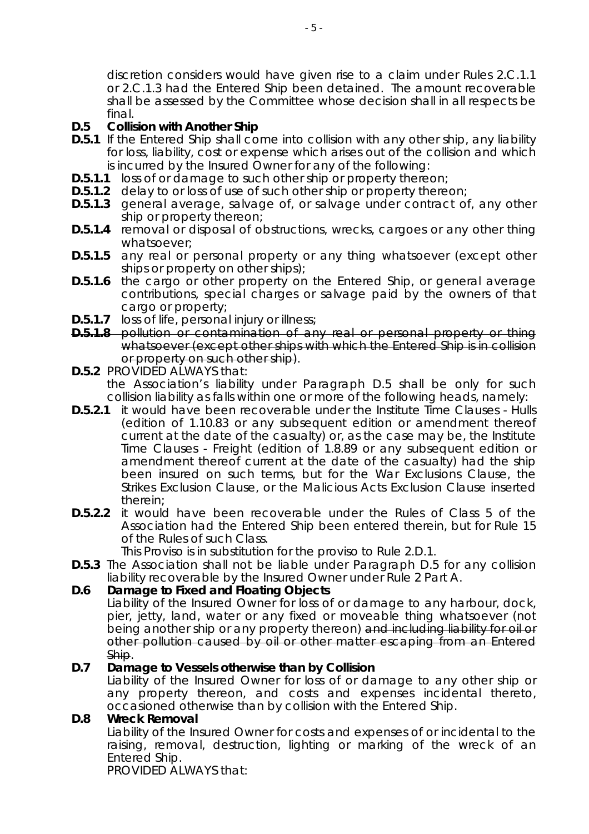discretion considers would have given rise to a claim under Rules 2.C.1.1 or 2.C.1.3 had the Entered Ship been detained. The amount recoverable shall be assessed by the Committee whose decision shall in all respects be final.

# **D.5 Collision with Another Ship**

- **D.5.1** If the Entered Ship shall come into collision with any other ship, any liability for loss, liability, cost or expense which arises out of the collision and which is incurred by the Insured Owner for any of the following:
- **D.5.1.1** loss of or damage to such other ship or property thereon;
- **D.5.1.2** delay to or loss of use of such other ship or property thereon;
- **D.5.1.3** general average, salvage of, or salvage under contract of, any other ship or property thereon;
- **D.5.1.4** removal or disposal of obstructions, wrecks, cargoes or any other thing whatsoever;
- **D.5.1.5** any real or personal property or any thing whatsoever (except other ships or property on other ships);
- **D.5.1.6** the cargo or other property on the Entered Ship, or general average contributions, special charges or salvage paid by the owners of that cargo or property;
- **D.5.1.7** loss of life, personal injury or illness;
- **D.5.1.8** pollution or contamination of any real or personal property or thing whatsoever (except other ships with which the Entered Ship is in collision or property on such other ship).
- **D.5.2** PROVIDED ALWAYS that: the Association's liability under Paragraph D.5 shall be only for such collision liability as falls within one or more of the following heads, namely:
- **D.5.2.1** it would have been recoverable under the Institute Time Clauses Hulls (edition of 1.10.83 or any subsequent edition or amendment thereof current at the date of the casualty) or, as the case may be, the Institute Time Clauses - Freight (edition of 1.8.89 or any subsequent edition or amendment thereof current at the date of the casualty) had the ship been insured on such terms, but for the War Exclusions Clause, the Strikes Exclusion Clause, or the Malicious Acts Exclusion Clause inserted therein;
- **D.5.2.2** it would have been recoverable under the Rules of Class 5 of the Association had the Entered Ship been entered therein, but for Rule 15 of the Rules of such Class.

This Proviso is in substitution for the proviso to Rule 2.D.1.

**D.5.3** The Association shall not be liable under Paragraph D.5 for any collision liability recoverable by the Insured Owner under Rule 2 Part A.

# **D.6 Damage to Fixed and Floating Objects**

Liability of the Insured Owner for loss of or damage to any harbour, dock, pier, jetty, land, water or any fixed or moveable thing whatsoever (not being another ship or any property thereon) and including liability for oil or other pollution caused by oil or other matter escaping from an Entered Ship.

### **D.7 Damage to Vessels otherwise than by Collision**

Liability of the Insured Owner for loss of or damage to any other ship or any property thereon, and costs and expenses incidental thereto, occasioned otherwise than by collision with the Entered Ship.

### **D.8 Wreck Removal**

Liability of the Insured Owner for costs and expenses of or incidental to the raising, removal, destruction, lighting or marking of the wreck of an Entered Ship.

PROVIDED ALWAYS that: